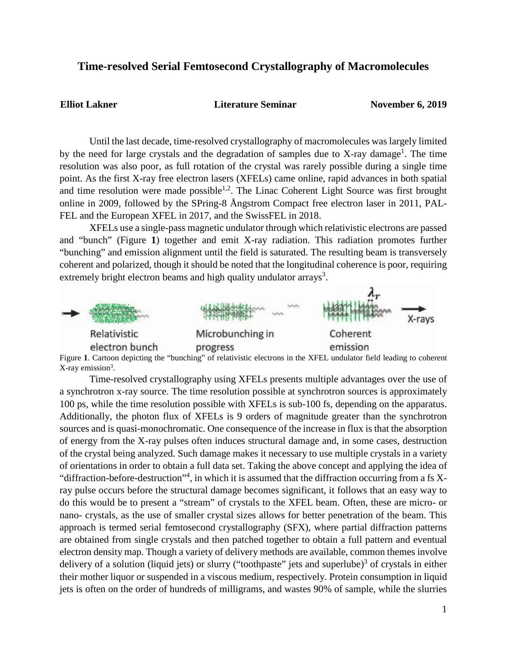## **Time-resolved Serial Femtosecond Crystallography of Macromolecules**

**Elliot Lakner Literature Seminar November 6, 2019**

Until the last decade, time-resolved crystallography of macromolecules was largely limited by the need for large crystals and the degradation of samples due to X-ray damage<sup>1</sup>. The time resolution was also poor, as full rotation of the crystal was rarely possible during a single time point. As the first X-ray free electron lasers (XFELs) came online, rapid advances in both spatial and time resolution were made possible<sup>1,2</sup>. The Linac Coherent Light Source was first brought online in 2009, followed by the SPring-8 Ångstrom Compact free electron laser in 2011, PAL-FEL and the European XFEL in 2017, and the SwissFEL in 2018.

XFELs use a single-pass magnetic undulator through which relativistic electrons are passed and "bunch" (Figure **1**) together and emit X-ray radiation. This radiation promotes further "bunching" and emission alignment until the field is saturated. The resulting beam is transversely coherent and polarized, though it should be noted that the longitudinal coherence is poor, requiring extremely bright electron beams and high quality undulator arrays<sup>3</sup>.



Figure 1. Cartoon depicting the "bunching" of relativistic electrons in the XFEL undulator field leading to coherent  $X$ -ray emission<sup>3</sup>.

Time-resolved crystallography using XFELs presents multiple advantages over the use of a synchrotron x-ray source. The time resolution possible at synchrotron sources is approximately 100 ps, while the time resolution possible with XFELs is sub-100 fs, depending on the apparatus. Additionally, the photon flux of XFELs is 9 orders of magnitude greater than the synchrotron sources and is quasi-monochromatic. One consequence of the increase in flux is that the absorption of energy from the X-ray pulses often induces structural damage and, in some cases, destruction of the crystal being analyzed. Such damage makes it necessary to use multiple crystals in a variety of orientations in order to obtain a full data set. Taking the above concept and applying the idea of "diffraction-before-destruction"<sup>4</sup>, in which it is assumed that the diffraction occurring from a fs Xray pulse occurs before the structural damage becomes significant, it follows that an easy way to do this would be to present a "stream" of crystals to the XFEL beam. Often, these are micro- or nano- crystals, as the use of smaller crystal sizes allows for better penetration of the beam. This approach is termed serial femtosecond crystallography (SFX), where partial diffraction patterns are obtained from single crystals and then patched together to obtain a full pattern and eventual electron density map. Though a variety of delivery methods are available, common themes involve delivery of a solution (liquid jets) or slurry ("toothpaste" jets and superlube) $3$  of crystals in either their mother liquor or suspended in a viscous medium, respectively. Protein consumption in liquid jets is often on the order of hundreds of milligrams, and wastes 90% of sample, while the slurries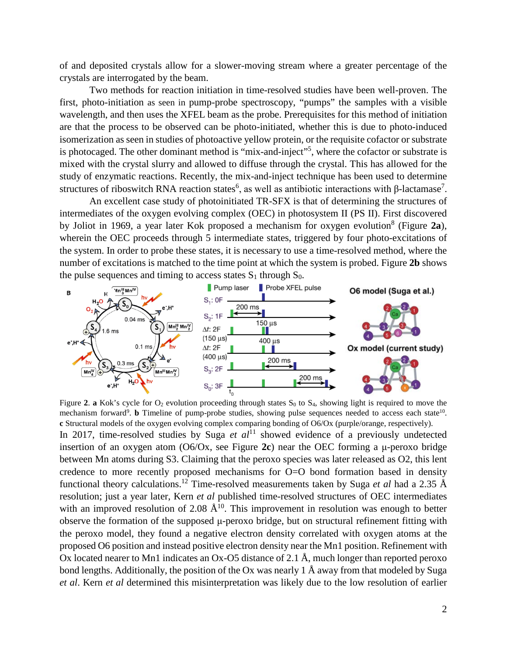of and deposited crystals allow for a slower-moving stream where a greater percentage of the crystals are interrogated by the beam.

Two methods for reaction initiation in time-resolved studies have been well-proven. The first, photo-initiation as seen in pump-probe spectroscopy, "pumps" the samples with a visible wavelength, and then uses the XFEL beam as the probe. Prerequisites for this method of initiation are that the process to be observed can be photo-initiated, whether this is due to photo-induced isomerization as seen in studies of photoactive yellow protein, or the requisite cofactor or substrate is photocaged. The other dominant method is "mix-and-inject"<sup>5</sup>, where the cofactor or substrate is mixed with the crystal slurry and allowed to diffuse through the crystal. This has allowed for the study of enzymatic reactions. Recently, the mix-and-inject technique has been used to determine structures of riboswitch RNA reaction states<sup>6</sup>, as well as antibiotic interactions with  $\beta$ -lactamase<sup>7</sup>.

An excellent case study of photoinitiated TR-SFX is that of determining the structures of intermediates of the oxygen evolving complex (OEC) in photosystem II (PS II). First discovered by Joliot in 1969, a year later Kok proposed a mechanism for oxygen evolution8 (Figure **2a**), wherein the OEC proceeds through 5 intermediate states, triggered by four photo-excitations of the system. In order to probe these states, it is necessary to use a time-resolved method, where the number of excitations is matched to the time point at which the system is probed. Figure **2b** shows the pulse sequences and timing to access states  $S_1$  through  $S_0$ .



Figure 2. **a** Kok's cycle for  $O_2$  evolution proceeding through states  $S_0$  to  $S_4$ , showing light is required to move the mechanism forward<sup>9</sup>. **b** Timeline of pump-probe studies, showing pulse sequences needed to access each state<sup>10</sup>. **c** Structural models of the oxygen evolving complex comparing bonding of O6/Ox (purple/orange, respectively). In 2017, time-resolved studies by Suga *et al*<sup>11</sup> showed evidence of a previously undetected insertion of an oxygen atom (O6/Ox, see Figure **2c**) near the OEC forming a μ-peroxo bridge between Mn atoms during S3. Claiming that the peroxo species was later released as O2, this lent credence to more recently proposed mechanisms for O=O bond formation based in density functional theory calculations.12 Time-resolved measurements taken by Suga *et al* had a 2.35 Å resolution; just a year later, Kern *et al* published time-resolved structures of OEC intermediates with an improved resolution of 2.08  $\AA^{10}$ . This improvement in resolution was enough to better observe the formation of the supposed μ-peroxo bridge, but on structural refinement fitting with the peroxo model, they found a negative electron density correlated with oxygen atoms at the proposed O6 position and instead positive electron density near the Mn1 position. Refinement with Ox located nearer to Mn1 indicates an Ox-O5 distance of 2.1 Å, much longer than reported peroxo bond lengths. Additionally, the position of the Ox was nearly 1  $\AA$  away from that modeled by Suga *et al*. Kern *et al* determined this misinterpretation was likely due to the low resolution of earlier